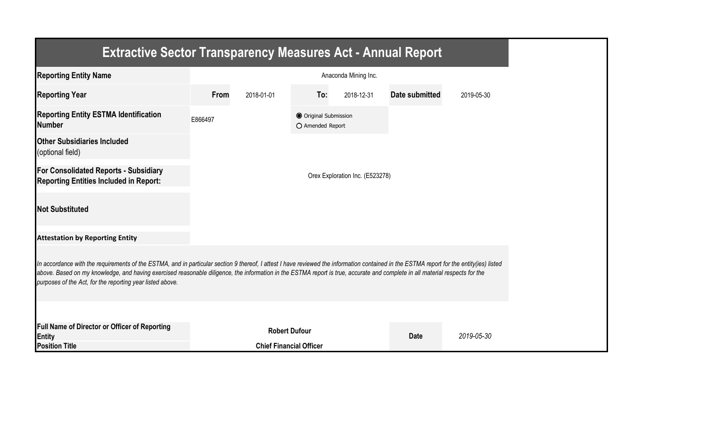| <b>Extractive Sector Transparency Measures Act - Annual Report</b>                                                                                                                                                                                                                                                                                                                                                                    |                                |                      |                                           |                                 |                       |            |  |  |  |
|---------------------------------------------------------------------------------------------------------------------------------------------------------------------------------------------------------------------------------------------------------------------------------------------------------------------------------------------------------------------------------------------------------------------------------------|--------------------------------|----------------------|-------------------------------------------|---------------------------------|-----------------------|------------|--|--|--|
| <b>Reporting Entity Name</b>                                                                                                                                                                                                                                                                                                                                                                                                          |                                |                      |                                           | Anaconda Mining Inc.            |                       |            |  |  |  |
| <b>Reporting Year</b>                                                                                                                                                                                                                                                                                                                                                                                                                 | From                           | 2018-01-01           | To:                                       | 2018-12-31                      | <b>Date submitted</b> | 2019-05-30 |  |  |  |
| <b>Reporting Entity ESTMA Identification</b><br><b>Number</b>                                                                                                                                                                                                                                                                                                                                                                         | E866497                        |                      | O Original Submission<br>O Amended Report |                                 |                       |            |  |  |  |
| <b>Other Subsidiaries Included</b><br>(optional field)                                                                                                                                                                                                                                                                                                                                                                                |                                |                      |                                           |                                 |                       |            |  |  |  |
| For Consolidated Reports - Subsidiary<br><b>Reporting Entities Included in Report:</b>                                                                                                                                                                                                                                                                                                                                                |                                |                      |                                           | Orex Exploration Inc. (E523278) |                       |            |  |  |  |
| <b>Not Substituted</b>                                                                                                                                                                                                                                                                                                                                                                                                                |                                |                      |                                           |                                 |                       |            |  |  |  |
| <b>Attestation by Reporting Entity</b>                                                                                                                                                                                                                                                                                                                                                                                                |                                |                      |                                           |                                 |                       |            |  |  |  |
| In accordance with the requirements of the ESTMA, and in particular section 9 thereof, I attest I have reviewed the information contained in the ESTMA report for the entity(ies) listed<br>above. Based on my knowledge, and having exercised reasonable diligence, the information in the ESTMA report is true, accurate and complete in all material respects for the<br>purposes of the Act, for the reporting year listed above. |                                |                      |                                           |                                 |                       |            |  |  |  |
|                                                                                                                                                                                                                                                                                                                                                                                                                                       |                                |                      |                                           |                                 |                       |            |  |  |  |
| Full Name of Director or Officer of Reporting<br>Entity                                                                                                                                                                                                                                                                                                                                                                               |                                | <b>Robert Dufour</b> |                                           |                                 | <b>Date</b>           | 2019-05-30 |  |  |  |
| <b>Position Title</b>                                                                                                                                                                                                                                                                                                                                                                                                                 | <b>Chief Financial Officer</b> |                      |                                           |                                 |                       |            |  |  |  |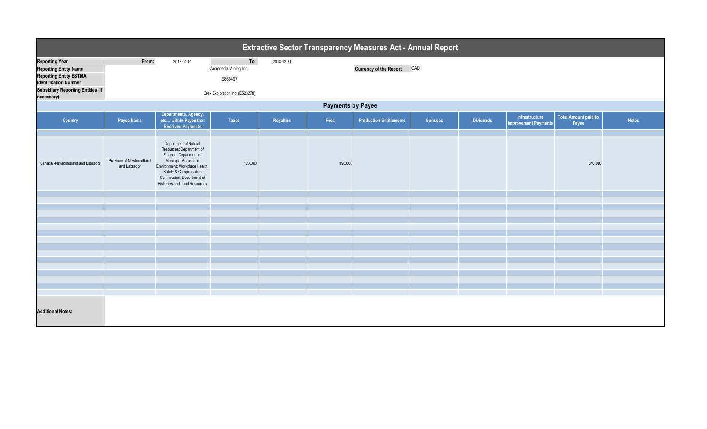| <b>Extractive Sector Transparency Measures Act - Annual Report</b>                                                                                                               |                                          |                                                                                                                                                                                                                              |                                                                           |                  |         |                                |                |                  |                                               |                                      |              |
|----------------------------------------------------------------------------------------------------------------------------------------------------------------------------------|------------------------------------------|------------------------------------------------------------------------------------------------------------------------------------------------------------------------------------------------------------------------------|---------------------------------------------------------------------------|------------------|---------|--------------------------------|----------------|------------------|-----------------------------------------------|--------------------------------------|--------------|
| <b>Reporting Year</b><br><b>Reporting Entity Name</b><br><b>Reporting Entity ESTMA</b><br><b>Identification Number</b><br><b>Subsidiary Reporting Entities (if</b><br>necessary) | From:                                    | 2018-01-01                                                                                                                                                                                                                   | To:<br>Anaconda Mining Inc.<br>E866497<br>Orex Exploration Inc. (E523278) | 2018-12-31       |         | Currency of the Report CAD     |                |                  |                                               |                                      |              |
| <b>Payments by Payee</b>                                                                                                                                                         |                                          |                                                                                                                                                                                                                              |                                                                           |                  |         |                                |                |                  |                                               |                                      |              |
| <b>Country</b>                                                                                                                                                                   | Payee Name                               | Departments, Agency,<br>etc within Payee that<br><b>Received Payments</b>                                                                                                                                                    | <b>Taxes</b>                                                              | <b>Royalties</b> | Fees    | <b>Production Entitlements</b> | <b>Bonuses</b> | <b>Dividends</b> | Infrastructure<br><b>Improvement Payments</b> | <b>Total Amount paid to</b><br>Payee | <b>Notes</b> |
| Canada -Newfoundland and Labrador                                                                                                                                                | Province of Newfoundland<br>and Labrador | Department of Natural<br>Resources; Department of<br>Finance; Department of<br>Municipal Affairs and<br>Environment; Workplace Health,<br>Safety & Compensation<br>Commission; Department of<br>Fisheries and Land Resources | 120,000                                                                   |                  | 190,000 |                                |                |                  |                                               | 310,000                              |              |
|                                                                                                                                                                                  |                                          |                                                                                                                                                                                                                              |                                                                           |                  |         |                                |                |                  |                                               |                                      |              |
|                                                                                                                                                                                  |                                          |                                                                                                                                                                                                                              |                                                                           |                  |         |                                |                |                  |                                               |                                      |              |
|                                                                                                                                                                                  |                                          |                                                                                                                                                                                                                              |                                                                           |                  |         |                                |                |                  |                                               |                                      |              |
|                                                                                                                                                                                  |                                          |                                                                                                                                                                                                                              |                                                                           |                  |         |                                |                |                  |                                               |                                      |              |
|                                                                                                                                                                                  |                                          |                                                                                                                                                                                                                              |                                                                           |                  |         |                                |                |                  |                                               |                                      |              |
|                                                                                                                                                                                  |                                          |                                                                                                                                                                                                                              |                                                                           |                  |         |                                |                |                  |                                               |                                      |              |
|                                                                                                                                                                                  |                                          |                                                                                                                                                                                                                              |                                                                           |                  |         |                                |                |                  |                                               |                                      |              |
|                                                                                                                                                                                  |                                          |                                                                                                                                                                                                                              |                                                                           |                  |         |                                |                |                  |                                               |                                      |              |
|                                                                                                                                                                                  |                                          |                                                                                                                                                                                                                              |                                                                           |                  |         |                                |                |                  |                                               |                                      |              |
|                                                                                                                                                                                  |                                          |                                                                                                                                                                                                                              |                                                                           |                  |         |                                |                |                  |                                               |                                      |              |
| <b>Additional Notes:</b>                                                                                                                                                         |                                          |                                                                                                                                                                                                                              |                                                                           |                  |         |                                |                |                  |                                               |                                      |              |